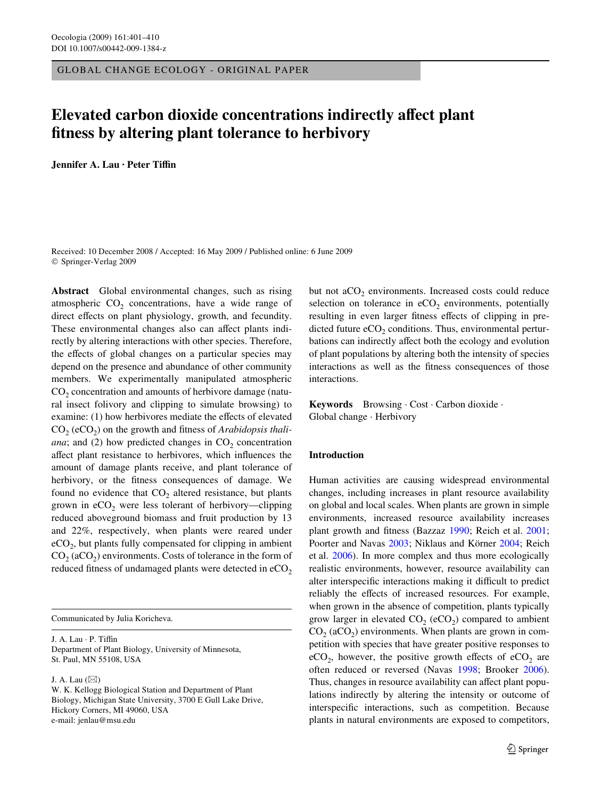GLOBAL CHANGE ECOLOGY - ORIGINAL PAPER

# **Elevated carbon dioxide concentrations indirectly affect plant** fitness by altering plant tolerance to herbivory

**Jennifer A. Lau · Peter TiYn** 

Received: 10 December 2008 / Accepted: 16 May 2009 / Published online: 6 June 2009 © Springer-Verlag 2009

**Abstract** Global environmental changes, such as rising atmospheric  $CO<sub>2</sub>$  concentrations, have a wide range of direct effects on plant physiology, growth, and fecundity. These environmental changes also can affect plants indirectly by altering interactions with other species. Therefore, the effects of global changes on a particular species may depend on the presence and abundance of other community members. We experimentally manipulated atmospheric  $CO<sub>2</sub>$  concentration and amounts of herbivore damage (natural insect folivory and clipping to simulate browsing) to examine: (1) how herbivores mediate the effects of elevated CO<sub>2</sub> (eCO<sub>2</sub>) on the growth and fitness of *Arabidopsis thaliana*; and (2) how predicted changes in  $CO<sub>2</sub>$  concentration affect plant resistance to herbivores, which influences the amount of damage plants receive, and plant tolerance of herbivory, or the fitness consequences of damage. We found no evidence that  $CO<sub>2</sub>$  altered resistance, but plants grown in  $eCO<sub>2</sub>$  were less tolerant of herbivory—clipping reduced aboveground biomass and fruit production by 13 and 22%, respectively, when plants were reared under  $eCO<sub>2</sub>$ , but plants fully compensated for clipping in ambient  $CO<sub>2</sub> (aCO<sub>2</sub>)$  environments. Costs of tolerance in the form of reduced fitness of undamaged plants were detected in  $eCO<sub>2</sub>$ 

Communicated by Julia Koricheva.

J. A. Lau · P. Tiffin Department of Plant Biology, University of Minnesota, St. Paul, MN 55108, USA

J. A. Lau  $(\boxtimes)$ 

but not  $aCO<sub>2</sub>$  environments. Increased costs could reduce selection on tolerance in  $eCO<sub>2</sub>$  environments, potentially resulting in even larger fitness effects of clipping in predicted future  $eCO<sub>2</sub>$  conditions. Thus, environmental perturbations can indirectly affect both the ecology and evolution of plant populations by altering both the intensity of species interactions as well as the fitness consequences of those interactions.

**Keywords** Browsing · Cost · Carbon dioxide · Global change · Herbivory

# **Introduction**

Human activities are causing widespread environmental changes, including increases in plant resource availability on global and local scales. When plants are grown in simple environments, increased resource availability increases plant growth and fitness (Bazzaz [1990;](#page-8-0) Reich et al. [2001;](#page-9-0) Poorter and Navas [2003;](#page-9-1) Niklaus and Körner [2004;](#page-9-2) Reich et al. [2006](#page-9-3)). In more complex and thus more ecologically realistic environments, however, resource availability can alter interspecific interactions making it difficult to predict reliably the effects of increased resources. For example, when grown in the absence of competition, plants typically grow larger in elevated  $CO<sub>2</sub>$  (eCO<sub>2</sub>) compared to ambient  $CO<sub>2</sub>$  (aCO<sub>2</sub>) environments. When plants are grown in competition with species that have greater positive responses to  $eCO<sub>2</sub>$ , however, the positive growth effects of  $eCO<sub>2</sub>$  are often reduced or reversed (Navas [1998](#page-9-4); Brooker [2006](#page-8-1)). Thus, changes in resource availability can affect plant populations indirectly by altering the intensity or outcome of interspecific interactions, such as competition. Because plants in natural environments are exposed to competitors,

W. K. Kellogg Biological Station and Department of Plant Biology, Michigan State University, 3700 E Gull Lake Drive, Hickory Corners, MI 49060, USA e-mail: jenlau@msu.edu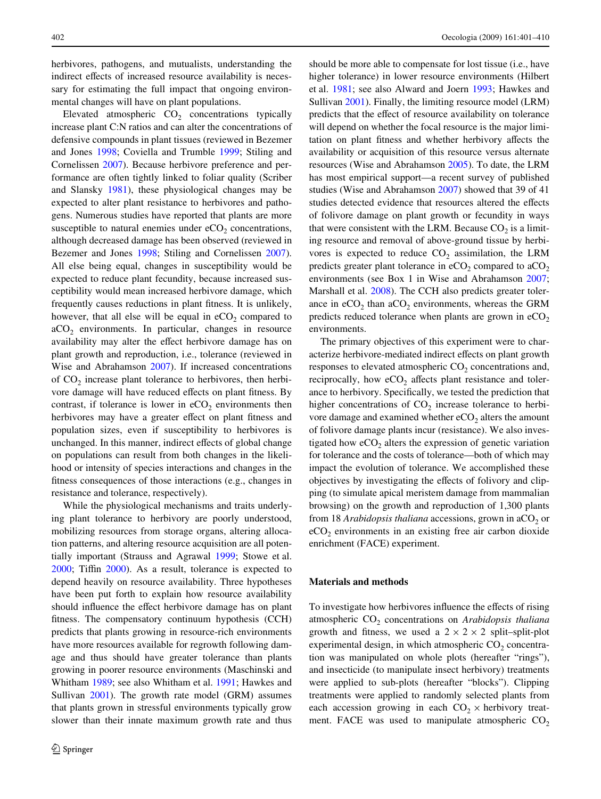herbivores, pathogens, and mutualists, understanding the indirect effects of increased resource availability is necessary for estimating the full impact that ongoing environmental changes will have on plant populations.

Elevated atmospheric  $CO<sub>2</sub>$  concentrations typically increase plant C:N ratios and can alter the concentrations of defensive compounds in plant tissues (reviewed in Bezemer and Jones [1998;](#page-8-2) Coviella and Trumble [1999](#page-8-3); Stiling and Cornelissen [2007\)](#page-9-5). Because herbivore preference and performance are often tightly linked to foliar quality (Scriber and Slansky [1981](#page-9-6)), these physiological changes may be expected to alter plant resistance to herbivores and pathogens. Numerous studies have reported that plants are more susceptible to natural enemies under  $eCO<sub>2</sub>$  concentrations, although decreased damage has been observed (reviewed in Bezemer and Jones [1998;](#page-8-2) Stiling and Cornelissen [2007](#page-9-5)). All else being equal, changes in susceptibility would be expected to reduce plant fecundity, because increased susceptibility would mean increased herbivore damage, which frequently causes reductions in plant fitness. It is unlikely, however, that all else will be equal in  $eCO<sub>2</sub>$  compared to  $aCO<sub>2</sub>$  environments. In particular, changes in resource availability may alter the effect herbivore damage has on plant growth and reproduction, i.e., tolerance (reviewed in Wise and Abrahamson [2007\)](#page-9-7). If increased concentrations of  $CO<sub>2</sub>$  increase plant tolerance to herbivores, then herbivore damage will have reduced effects on plant fitness. By contrast, if tolerance is lower in  $eCO<sub>2</sub>$  environments then herbivores may have a greater effect on plant fitness and population sizes, even if susceptibility to herbivores is unchanged. In this manner, indirect effects of global change on populations can result from both changes in the likelihood or intensity of species interactions and changes in the fitness consequences of those interactions (e.g., changes in resistance and tolerance, respectively).

While the physiological mechanisms and traits underlying plant tolerance to herbivory are poorly understood, mobilizing resources from storage organs, altering allocation patterns, and altering resource acquisition are all potentially important (Strauss and Agrawal [1999](#page-9-8); Stowe et al.  $2000$ ; Tiffin  $2000$ ). As a result, tolerance is expected to depend heavily on resource availability. Three hypotheses have been put forth to explain how resource availability should influence the effect herbivore damage has on plant fitness. The compensatory continuum hypothesis (CCH) predicts that plants growing in resource-rich environments have more resources available for regrowth following damage and thus should have greater tolerance than plants growing in poorer resource environments (Maschinski and Whitham [1989](#page-9-11); see also Whitham et al. [1991;](#page-9-12) Hawkes and Sullivan [2001\)](#page-8-4). The growth rate model (GRM) assumes that plants grown in stressful environments typically grow slower than their innate maximum growth rate and thus

should be more able to compensate for lost tissue (i.e., have higher tolerance) in lower resource environments (Hilbert et al. [1981](#page-8-5); see also Alward and Joern [1993;](#page-8-6) Hawkes and Sullivan [2001\)](#page-8-4). Finally, the limiting resource model (LRM) predicts that the effect of resource availability on tolerance will depend on whether the focal resource is the major limitation on plant fitness and whether herbivory affects the availability or acquisition of this resource versus alternate resources (Wise and Abrahamson [2005\)](#page-9-13). To date, the LRM has most empirical support—a recent survey of published studies (Wise and Abrahamson [2007\)](#page-9-7) showed that 39 of 41 studies detected evidence that resources altered the effects of folivore damage on plant growth or fecundity in ways that were consistent with the LRM. Because  $CO<sub>2</sub>$  is a limiting resource and removal of above-ground tissue by herbivores is expected to reduce  $CO<sub>2</sub>$  assimilation, the LRM predicts greater plant tolerance in  $eCO<sub>2</sub>$  compared to  $aCO<sub>2</sub>$ environments (see Box 1 in Wise and Abrahamson [2007;](#page-9-7) Marshall et al. [2008](#page-8-7)). The CCH also predicts greater tolerance in  $eCO<sub>2</sub>$  than  $aCO<sub>2</sub>$  environments, whereas the GRM predicts reduced tolerance when plants are grown in  $eCO<sub>2</sub>$ environments.

The primary objectives of this experiment were to characterize herbivore-mediated indirect effects on plant growth responses to elevated atmospheric  $CO<sub>2</sub>$  concentrations and, reciprocally, how  $eCO<sub>2</sub>$  affects plant resistance and tolerance to herbivory. Specifically, we tested the prediction that higher concentrations of  $CO<sub>2</sub>$  increase tolerance to herbivore damage and examined whether  $eCO<sub>2</sub>$  alters the amount of folivore damage plants incur (resistance). We also investigated how  $eCO<sub>2</sub>$  alters the expression of genetic variation for tolerance and the costs of tolerance—both of which may impact the evolution of tolerance. We accomplished these objectives by investigating the effects of folivory and clipping (to simulate apical meristem damage from mammalian browsing) on the growth and reproduction of 1,300 plants from 18 *Arabidopsis thaliana* accessions, grown in aCO<sub>2</sub> or  $eCO<sub>2</sub>$  environments in an existing free air carbon dioxide enrichment (FACE) experiment.

# **Materials and methods**

To investigate how herbivores influence the effects of rising atmospheric CO<sub>2</sub> concentrations on *Arabidopsis thaliana* growth and fitness, we used a  $2 \times 2 \times 2$  split–split-plot experimental design, in which atmospheric  $CO<sub>2</sub>$  concentration was manipulated on whole plots (hereafter "rings"), and insecticide (to manipulate insect herbivory) treatments were applied to sub-plots (hereafter "blocks"). Clipping treatments were applied to randomly selected plants from each accession growing in each  $CO_2 \times$  herbivory treatment. FACE was used to manipulate atmospheric  $CO<sub>2</sub>$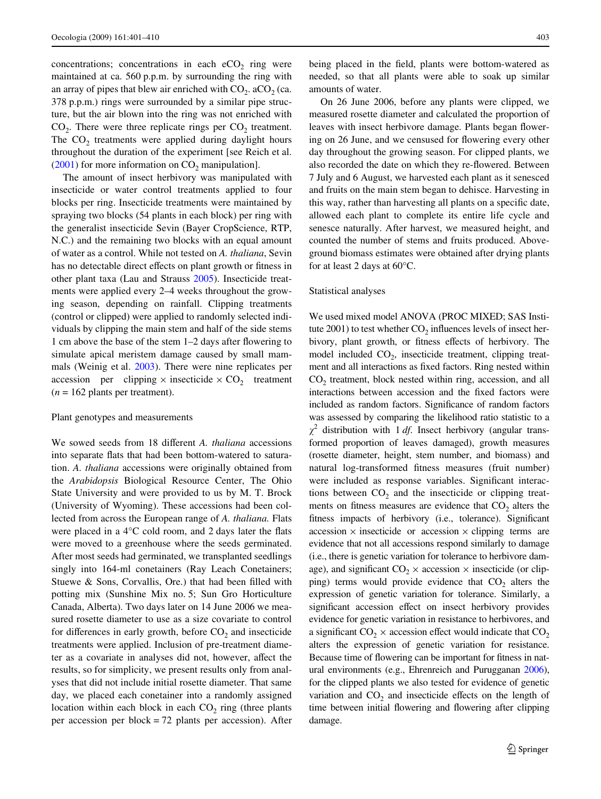concentrations; concentrations in each  $eCO<sub>2</sub>$  ring were maintained at ca. 560 p.p.m. by surrounding the ring with an array of pipes that blew air enriched with  $CO<sub>2</sub>$ . aCO<sub>2</sub> (ca. 378 p.p.m.) rings were surrounded by a similar pipe structure, but the air blown into the ring was not enriched with  $CO<sub>2</sub>$ . There were three replicate rings per  $CO<sub>2</sub>$  treatment. The  $CO<sub>2</sub>$  treatments were applied during daylight hours throughout the duration of the experiment [see Reich et al.  $(2001)$  $(2001)$  for more information on  $CO<sub>2</sub>$  manipulation].

The amount of insect herbivory was manipulated with insecticide or water control treatments applied to four blocks per ring. Insecticide treatments were maintained by spraying two blocks (54 plants in each block) per ring with the generalist insecticide Sevin (Bayer CropScience, RTP, N.C.) and the remaining two blocks with an equal amount of water as a control. While not tested on *A. thaliana*, Sevin has no detectable direct effects on plant growth or fitness in other plant taxa (Lau and Strauss [2005\)](#page-8-8). Insecticide treatments were applied every 2–4 weeks throughout the growing season, depending on rainfall. Clipping treatments (control or clipped) were applied to randomly selected individuals by clipping the main stem and half of the side stems 1 cm above the base of the stem  $1-2$  days after flowering to simulate apical meristem damage caused by small mammals (Weinig et al. [2003](#page-9-14)). There were nine replicates per accession per clipping  $\times$  insecticide  $\times$  CO<sub>2</sub> treatment  $(n = 162 \text{ plants per treatment}).$ 

# Plant genotypes and measurements

We sowed seeds from 18 different *A. thaliana* accessions into separate flats that had been bottom-watered to saturation. *A. thaliana* accessions were originally obtained from the *Arabidopsis* Biological Resource Center, The Ohio State University and were provided to us by M. T. Brock (University of Wyoming). These accessions had been collected from across the European range of *A. thaliana.* Flats were placed in a  $4^{\circ}$ C cold room, and 2 days later the flats were moved to a greenhouse where the seeds germinated. After most seeds had germinated, we transplanted seedlings singly into 164-ml conetainers (Ray Leach Conetainers; Stuewe  $& Sons, Corvallis, Ore.)$  that had been filled with potting mix (Sunshine Mix no. 5; Sun Gro Horticulture Canada, Alberta). Two days later on 14 June 2006 we measured rosette diameter to use as a size covariate to control for differences in early growth, before  $CO<sub>2</sub>$  and insecticide treatments were applied. Inclusion of pre-treatment diameter as a covariate in analyses did not, however, affect the results, so for simplicity, we present results only from analyses that did not include initial rosette diameter. That same day, we placed each conetainer into a randomly assigned location within each block in each  $CO<sub>2</sub>$  ring (three plants per accession per block = 72 plants per accession). After

being placed in the field, plants were bottom-watered as needed, so that all plants were able to soak up similar amounts of water.

On 26 June 2006, before any plants were clipped, we measured rosette diameter and calculated the proportion of leaves with insect herbivore damage. Plants began flowering on 26 June, and we censused for flowering every other day throughout the growing season. For clipped plants, we also recorded the date on which they re-flowered. Between 7 July and 6 August, we harvested each plant as it senesced and fruits on the main stem began to dehisce. Harvesting in this way, rather than harvesting all plants on a specific date, allowed each plant to complete its entire life cycle and senesce naturally. After harvest, we measured height, and counted the number of stems and fruits produced. Aboveground biomass estimates were obtained after drying plants for at least 2 days at 60°C.

### Statistical analyses

We used mixed model ANOVA (PROC MIXED; SAS Institute 2001) to test whether  $CO<sub>2</sub>$  influences levels of insect herbivory, plant growth, or fitness effects of herbivory. The model included  $CO<sub>2</sub>$ , insecticide treatment, clipping treatment and all interactions as fixed factors. Ring nested within CO<sub>2</sub> treatment, block nested within ring, accession, and all interactions between accession and the fixed factors were included as random factors. Significance of random factors was assessed by comparing the likelihood ratio statistic to a  $\chi^2$  distribution with 1 *df*. Insect herbivory (angular transformed proportion of leaves damaged), growth measures (rosette diameter, height, stem number, and biomass) and natural log-transformed fitness measures (fruit number) were included as response variables. Significant interactions between  $CO<sub>2</sub>$  and the insecticide or clipping treatments on fitness measures are evidence that  $CO<sub>2</sub>$  alters the fitness impacts of herbivory (i.e., tolerance). Significant accession  $\times$  insecticide or accession  $\times$  clipping terms are evidence that not all accessions respond similarly to damage (i.e., there is genetic variation for tolerance to herbivore damage), and significant  $CO_2 \times$  accession  $\times$  insecticide (or clipping) terms would provide evidence that  $CO<sub>2</sub>$  alters the expression of genetic variation for tolerance. Similarly, a significant accession effect on insect herbivory provides evidence for genetic variation in resistance to herbivores, and a significant  $CO_2 \times$  accession effect would indicate that  $CO_2$ alters the expression of genetic variation for resistance. Because time of flowering can be important for fitness in natural environments (e.g., Ehrenreich and Purugganan [2006\)](#page-8-9), for the clipped plants we also tested for evidence of genetic variation and  $CO<sub>2</sub>$  and insecticide effects on the length of time between initial flowering and flowering after clipping damage.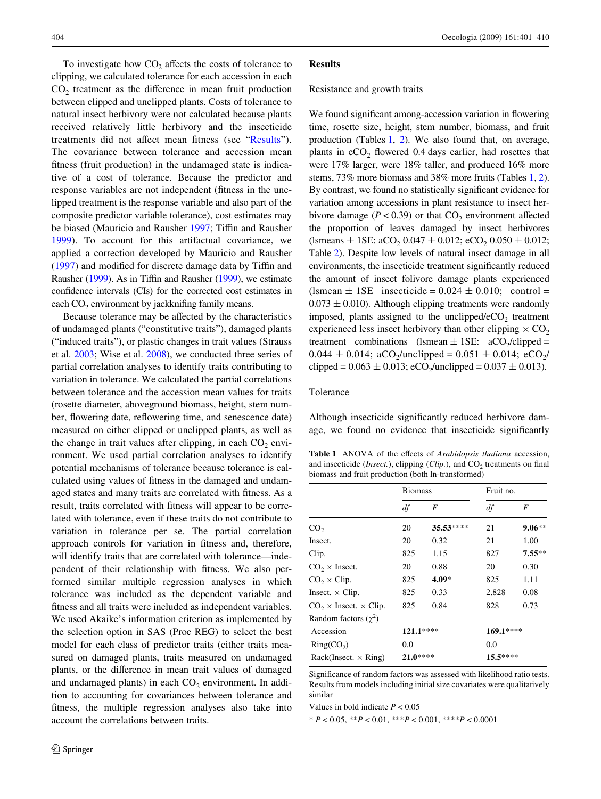To investigate how  $CO<sub>2</sub>$  affects the costs of tolerance to clipping, we calculated tolerance for each accession in each  $CO<sub>2</sub>$  treatment as the difference in mean fruit production between clipped and unclipped plants. Costs of tolerance to natural insect herbivory were not calculated because plants received relatively little herbivory and the insecticide treatments did not affect mean fitness (see "[Results](#page-3-0)"). The covariance between tolerance and accession mean fitness (fruit production) in the undamaged state is indicative of a cost of tolerance. Because the predictor and response variables are not independent (fitness in the unclipped treatment is the response variable and also part of the composite predictor variable tolerance), cost estimates may be biased (Mauricio and Rausher [1997](#page-9-15); Tiffin and Rausher [1999](#page-9-16)). To account for this artifactual covariance, we applied a correction developed by Mauricio and Rausher  $(1997)$  $(1997)$  and modified for discrete damage data by Tiffin and Rausher [\(1999](#page-9-16)). As in Tiffin and Rausher (1999), we estimate confidence intervals (CIs) for the corrected cost estimates in each  $CO<sub>2</sub>$  environment by jackknifing family means.

Because tolerance may be affected by the characteristics of undamaged plants ("constitutive traits"), damaged plants ("induced traits"), or plastic changes in trait values (Strauss et al. [2003](#page-9-17); Wise et al. [2008\)](#page-9-18), we conducted three series of partial correlation analyses to identify traits contributing to variation in tolerance. We calculated the partial correlations between tolerance and the accession mean values for traits (rosette diameter, aboveground biomass, height, stem number, flowering date, reflowering time, and senescence date) measured on either clipped or unclipped plants, as well as the change in trait values after clipping, in each  $CO<sub>2</sub>$  environment. We used partial correlation analyses to identify potential mechanisms of tolerance because tolerance is calculated using values of fitness in the damaged and undamaged states and many traits are correlated with fitness. As a result, traits correlated with fitness will appear to be correlated with tolerance, even if these traits do not contribute to variation in tolerance per se. The partial correlation approach controls for variation in fitness and, therefore, will identify traits that are correlated with tolerance—independent of their relationship with fitness. We also performed similar multiple regression analyses in which tolerance was included as the dependent variable and fitness and all traits were included as independent variables. We used Akaike's information criterion as implemented by the selection option in SAS (Proc REG) to select the best model for each class of predictor traits (either traits measured on damaged plants, traits measured on undamaged plants, or the difference in mean trait values of damaged and undamaged plants) in each  $CO<sub>2</sub>$  environment. In addition to accounting for covariances between tolerance and fitness, the multiple regression analyses also take into account the correlations between traits.

# <span id="page-3-0"></span>**Results**

#### Resistance and growth traits

We found significant among-accession variation in flowering time, rosette size, height, stem number, biomass, and fruit production (Tables [1](#page-3-1), [2\)](#page-4-0). We also found that, on average, plants in  $eCO<sub>2</sub>$  flowered 0.4 days earlier, had rosettes that were 17% larger, were 18% taller, and produced 16% more stems, 73% more biomass and 38% more fruits (Tables [1](#page-3-1), [2\)](#page-4-0). By contrast, we found no statistically significant evidence for variation among accessions in plant resistance to insect herbivore damage ( $P < 0.39$ ) or that  $CO<sub>2</sub>$  environment affected the proportion of leaves damaged by insect herbivores (lsmeans  $\pm$  1SE: aCO<sub>2</sub> 0.047  $\pm$  0.012; eCO<sub>2</sub> 0.050  $\pm$  0.012; Table [2\)](#page-4-0). Despite low levels of natural insect damage in all environments, the insecticide treatment significantly reduced the amount of insect folivore damage plants experienced (lsmean  $\pm$  1SE insecticide = 0.024  $\pm$  0.010; control =  $0.073 \pm 0.010$ ). Although clipping treatments were randomly imposed, plants assigned to the unclipped/ $eCO<sub>2</sub>$  treatment experienced less insect herbivory than other clipping  $\times$  CO<sub>2</sub> treatment combinations (lsmean  $\pm$  1SE: aCO<sub>2</sub>/clipped =  $0.044 \pm 0.014$ ; aCO<sub>2</sub>/unclipped =  $0.051 \pm 0.014$ ; eCO<sub>2</sub>/ clipped =  $0.063 \pm 0.013$ ; eCO<sub>2</sub>/unclipped =  $0.037 \pm 0.013$ ).

# Tolerance

Although insecticide significantly reduced herbivore damage, we found no evidence that insecticide significantly

<span id="page-3-1"></span>Table 1 ANOVA of the effects of *Arabidopsis thaliana* accession, and insecticide (*Insect.*), clipping (*Clip.*), and CO<sub>2</sub> treatments on final biomass and fruit production (both ln-transformed)

|                                      | <b>Biomass</b> |           | Fruit no. |          |
|--------------------------------------|----------------|-----------|-----------|----------|
|                                      | df             | F         | df        | F        |
| CO <sub>2</sub>                      | 20             | 35.53**** | 21        | $9.06**$ |
| Insect.                              | 20             | 0.32      | 21        | 1.00     |
| Clip.                                | 825            | 1.15      | 827       | $7.55**$ |
| $CO2 \times Insect.$                 | 20             | 0.88      | 20        | 0.30     |
| $CO_2 \times Clip.$                  | 825            | $4.09*$   | 825       | 1.11     |
| Insect. $\times$ Clip.               | 825            | 0.33      | 2,828     | 0.08     |
| $CO_2 \times$ Insect. $\times$ Clip. | 825            | 0.84      | 828       | 0.73     |
| Random factors $(\gamma^2)$          |                |           |           |          |
| Accession                            | $121.1***$     |           | 169.1**** |          |
| Ring(CO <sub>2</sub> )               | 0.0            |           | 0.0       |          |
| $Back(Insert. \times Ring)$          | $21.0***$      |           | $15.5***$ |          |

Significance of random factors was assessed with likelihood ratio tests. Results from models including initial size covariates were qualitatively similar

Values in bold indicate *P* < 0.05

\* *P* < 0.05, \*\**P* < 0.01, \*\*\**P* < 0.001, \*\*\*\**P* < 0.0001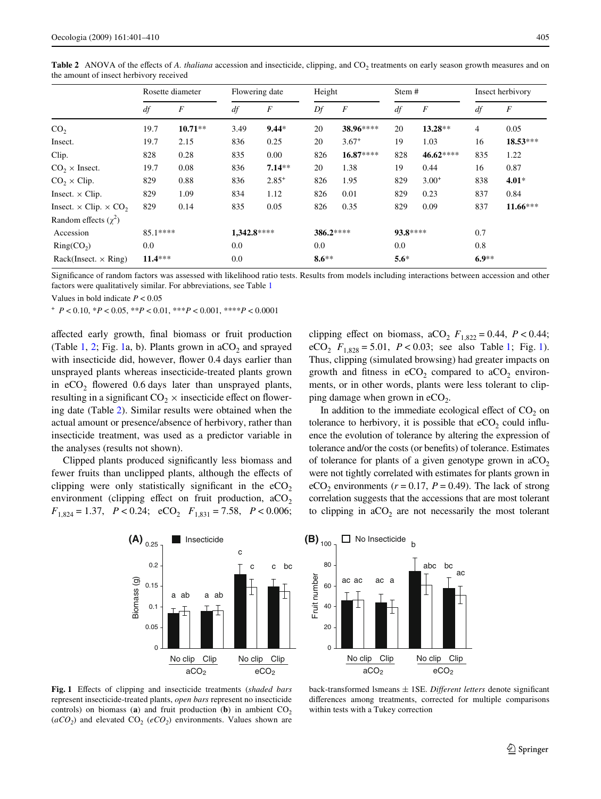|                                                 | Rosette diameter |                  |             | Flowering date   |           | Height           |          | Stem #           |         | Insect herbivory |  |
|-------------------------------------------------|------------------|------------------|-------------|------------------|-----------|------------------|----------|------------------|---------|------------------|--|
|                                                 | df               | $\boldsymbol{F}$ | df          | $\boldsymbol{F}$ | Df        | $\boldsymbol{F}$ | df       | $\boldsymbol{F}$ | df      | $\boldsymbol{F}$ |  |
| CO <sub>2</sub>                                 | 19.7             | $10.71**$        | 3.49        | $9.44*$          | 20        | 38.96****        | 20       | $13.28**$        | 4       | 0.05             |  |
| Insect.                                         | 19.7             | 2.15             | 836         | 0.25             | 20        | $3.67^{+}$       | 19       | 1.03             | 16      | $18.53***$       |  |
| Clip.                                           | 828              | 0.28             | 835         | 0.00             | 826       | 16.87****        | 828      | 46.62****        | 835     | 1.22             |  |
| $CO2 \times Insect.$                            | 19.7             | 0.08             | 836         | $7.14**$         | 20        | 1.38             | 19       | 0.44             | 16      | 0.87             |  |
| $CO_2 \times Clip.$                             | 829              | 0.88             | 836         | $2.85^{+}$       | 826       | 1.95             | 829      | $3.00^{+}$       | 838     | $4.01*$          |  |
| Insect. $\times$ Clip.                          | 829              | 1.09             | 834         | 1.12             | 826       | 0.01             | 829      | 0.23             | 837     | 0.84             |  |
| Insect. $\times$ Clip. $\times$ CO <sub>2</sub> | 829              | 0.14             | 835         | 0.05             | 826       | 0.35             | 829      | 0.09             | 837     | $11.66***$       |  |
| Random effects $(\gamma^2)$                     |                  |                  |             |                  |           |                  |          |                  |         |                  |  |
| Accession                                       | 85.1****         |                  | 1,342.8**** |                  | 386.2**** |                  | 93.8**** |                  | 0.7     |                  |  |
| Ring(CO <sub>2</sub> )                          | 0.0              |                  | 0.0         |                  | 0.0       |                  | 0.0      |                  | 0.8     |                  |  |
| $Back(Insert. \times Ring)$                     | $11.4***$        |                  | 0.0         |                  | $8.6***$  |                  | $5.6*$   |                  | $6.9**$ |                  |  |

<span id="page-4-0"></span>**Table 2** ANOVA of the effects of *A. thaliana* accession and insecticide, clipping, and CO<sub>2</sub> treatments on early season growth measures and on the amount of insect herbivory received

Significance of random factors was assessed with likelihood ratio tests. Results from models including interactions between accession and other factors were qualitatively similar. For abbreviations, see Table [1](#page-3-1)

Values in bold indicate *P* < 0.05

<sup>+</sup> *P* < 0.10, \**P* < 0.05, \*\**P* < 0.01, \*\*\**P* < 0.001, \*\*\*\**P* < 0.0001

affected early growth, final biomass or fruit production (Table [1,](#page-3-1) [2](#page-4-0); Fig. [1](#page-4-1)a, b). Plants grown in  $aCO<sub>2</sub>$  and sprayed with insecticide did, however, flower 0.4 days earlier than unsprayed plants whereas insecticide-treated plants grown in  $eCO<sub>2</sub>$  flowered 0.6 days later than unsprayed plants, resulting in a significant  $CO<sub>2</sub> \times$  insecticide effect on flowering date (Table [2\)](#page-4-0). Similar results were obtained when the actual amount or presence/absence of herbivory, rather than insecticide treatment, was used as a predictor variable in the analyses (results not shown).

Clipped plants produced significantly less biomass and fewer fruits than unclipped plants, although the effects of clipping were only statistically significant in the  $eCO<sub>2</sub>$ environment (clipping effect on fruit production,  $aCO<sub>2</sub>$  $F_{1,824} = 1.37$ ,  $P < 0.24$ ;  $eCO_2$ ,  $F_{1,831} = 7.58$ ,  $P < 0.006$ ;



In addition to the immediate ecological effect of  $CO<sub>2</sub>$  on tolerance to herbivory, it is possible that  $eCO<sub>2</sub>$  could influence the evolution of tolerance by altering the expression of tolerance and/or the costs (or benefits) of tolerance. Estimates of tolerance for plants of a given genotype grown in  $aCO<sub>2</sub>$ were not tightly correlated with estimates for plants grown in eCO<sub>2</sub> environments ( $r = 0.17$ ,  $P = 0.49$ ). The lack of strong correlation suggests that the accessions that are most tolerant to clipping in  $aCO<sub>2</sub>$  are not necessarily the most tolerant





<span id="page-4-1"></span>Fig. 1 Effects of clipping and insecticide treatments (shaded bars represent insecticide-treated plants, *open bars* represent no insecticide controls) on biomass (**a**) and fruit production (**b**) in ambient  $CO_2$  $(aCO<sub>2</sub>)$  and elevated  $CO<sub>2</sub> (eCO<sub>2</sub>)$  environments. Values shown are

back-transformed lsmeans  $\pm$  1SE. *Different letters* denote significant differences among treatments, corrected for multiple comparisons within tests with a Tukey correction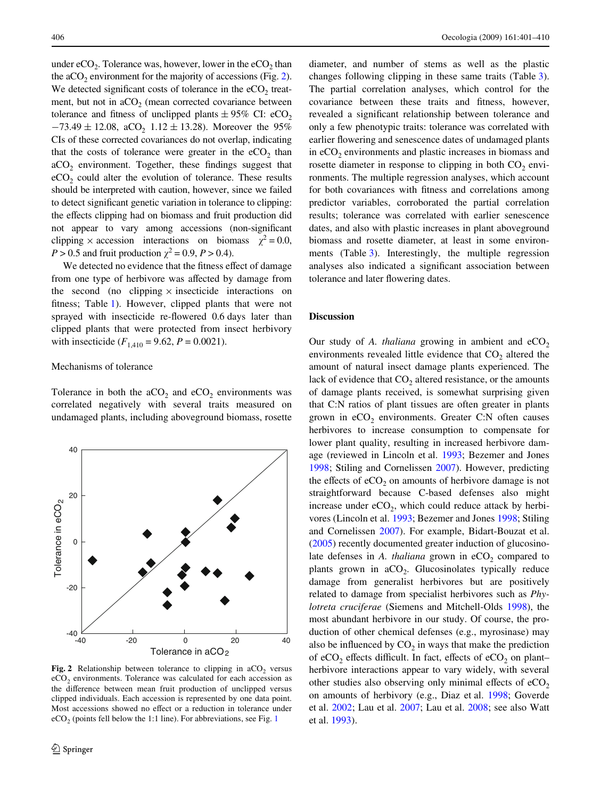under  $eCO_2$ . Tolerance was, however, lower in the  $eCO_2$  than the  $aCO<sub>2</sub>$  environment for the majority of accessions (Fig. [2\)](#page-5-0). We detected significant costs of tolerance in the  $eCO<sub>2</sub>$  treatment, but not in  $aCO<sub>2</sub>$  (mean corrected covariance between tolerance and fitness of unclipped plants  $\pm$  95% CI: eCO<sub>2</sub>  $-73.49 \pm 12.08$ , aCO<sub>2</sub> 1.12  $\pm$  13.28). Moreover the 95% CIs of these corrected covariances do not overlap, indicating that the costs of tolerance were greater in the  $eCO<sub>2</sub>$  than  $aCO<sub>2</sub>$  environment. Together, these findings suggest that  $eCO<sub>2</sub>$  could alter the evolution of tolerance. These results should be interpreted with caution, however, since we failed to detect significant genetic variation in tolerance to clipping: the effects clipping had on biomass and fruit production did not appear to vary among accessions (non-significant clipping  $\times$  accession interactions on biomass  $\chi^2 = 0.0$ , *P* > 0.5 and fruit production  $\chi^2$  = 0.9, *P* > 0.4).

We detected no evidence that the fitness effect of damage from one type of herbivore was affected by damage from the second (no clipping  $\times$  insecticide interactions on fitness; Table [1](#page-3-1)). However, clipped plants that were not sprayed with insecticide re-flowered 0.6 days later than clipped plants that were protected from insect herbivory with insecticide  $(F_{1,410} = 9.62, P = 0.0021)$ .

## Mechanisms of tolerance

Tolerance in both the  $aCO<sub>2</sub>$  and  $eCO<sub>2</sub>$  environments was correlated negatively with several traits measured on undamaged plants, including aboveground biomass, rosette



<span id="page-5-0"></span>Fig. 2 Relationship between tolerance to clipping in aCO<sub>2</sub> versus  $eCO<sub>2</sub>$  environments. Tolerance was calculated for each accession as the difference between mean fruit production of unclipped versus clipped individuals. Each accession is represented by one data point. Most accessions showed no effect or a reduction in tolerance under  $eCO<sub>2</sub>$  (points fell below the [1](#page-4-1):1 line). For abbreviations, see Fig. 1

diameter, and number of stems as well as the plastic changes following clipping in these same traits (Table [3](#page-6-0)). The partial correlation analyses, which control for the covariance between these traits and fitness, however, revealed a significant relationship between tolerance and only a few phenotypic traits: tolerance was correlated with earlier flowering and senescence dates of undamaged plants in  $eCO<sub>2</sub>$  environments and plastic increases in biomass and rosette diameter in response to clipping in both  $CO<sub>2</sub>$  environments. The multiple regression analyses, which account for both covariances with fitness and correlations among predictor variables, corroborated the partial correlation results; tolerance was correlated with earlier senescence dates, and also with plastic increases in plant aboveground biomass and rosette diameter, at least in some environments (Table [3\)](#page-6-0). Interestingly, the multiple regression analyses also indicated a significant association between tolerance and later flowering dates.

## **Discussion**

Our study of *A. thaliana* growing in ambient and  $eCO<sub>2</sub>$ environments revealed little evidence that  $CO<sub>2</sub>$  altered the amount of natural insect damage plants experienced. The lack of evidence that  $CO<sub>2</sub>$  altered resistance, or the amounts of damage plants received, is somewhat surprising given that C:N ratios of plant tissues are often greater in plants grown in  $eCO<sub>2</sub>$  environments. Greater C:N often causes herbivores to increase consumption to compensate for lower plant quality, resulting in increased herbivore damage (reviewed in Lincoln et al. [1993;](#page-8-10) Bezemer and Jones [1998](#page-8-2); Stiling and Cornelissen [2007\)](#page-9-5). However, predicting the effects of  $eCO<sub>2</sub>$  on amounts of herbivore damage is not straightforward because C-based defenses also might increase under  $eCO<sub>2</sub>$ , which could reduce attack by herbivores (Lincoln et al. [1993](#page-8-10); Bezemer and Jones [1998;](#page-8-2) Stiling and Cornelissen [2007\)](#page-9-5). For example, Bidart-Bouzat et al. [\(2005\)](#page-8-11) recently documented greater induction of glucosinolate defenses in  $A$ . *thaliana* grown in  $eCO<sub>2</sub>$  compared to plants grown in  $aCO<sub>2</sub>$ . Glucosinolates typically reduce damage from generalist herbivores but are positively related to damage from specialist herbivores such as *Phylotreta cruciferae* (Siemens and Mitchell-Olds [1998](#page-9-19)), the most abundant herbivore in our study. Of course, the production of other chemical defenses (e.g., myrosinase) may also be influenced by  $CO<sub>2</sub>$  in ways that make the prediction of eCO<sub>2</sub> effects difficult. In fact, effects of eCO<sub>2</sub> on plant– herbivore interactions appear to vary widely, with several other studies also observing only minimal effects of  $eCO<sub>2</sub>$ on amounts of herbivory (e.g., Diaz et al. [1998](#page-8-12); Goverde et al. [2002;](#page-8-13) Lau et al. [2007](#page-8-14); Lau et al. [2008;](#page-8-15) see also Watt et al. [1993](#page-9-20)).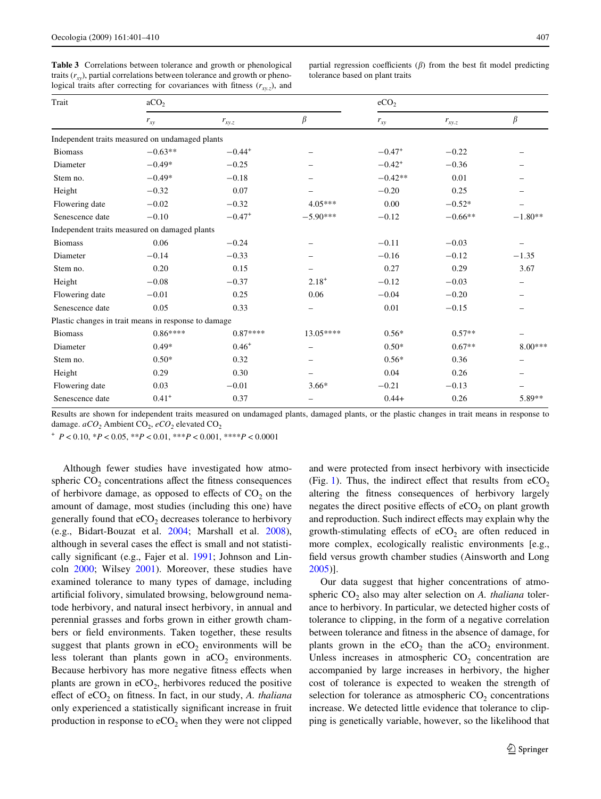<span id="page-6-0"></span>**Table 3** Correlations between tolerance and growth or phenological traits  $(r<sub>xy</sub>)$ , partial correlations between tolerance and growth or phenological traits after correcting for covariances with fitness  $(r_{xyz})$ , and

partial regression coefficients  $(\beta)$  from the best fit model predicting tolerance based on plant traits

| Trait                                                | aCO <sub>2</sub> |             |            | eCO <sub>2</sub> |            |           |  |
|------------------------------------------------------|------------------|-------------|------------|------------------|------------|-----------|--|
|                                                      | $r_{xy}$         | $r_{xy,z}$  | $\beta$    | $r_{xy}$         | $r_{xy.z}$ | $\beta$   |  |
| Independent traits measured on undamaged plants      |                  |             |            |                  |            |           |  |
| <b>Biomass</b>                                       | $-0.63**$        | $-0.44^{+}$ |            | $-0.47^+$        | $-0.22$    |           |  |
| Diameter                                             | $-0.49*$         | $-0.25$     |            | $-0.42^{+}$      | $-0.36$    |           |  |
| Stem no.                                             | $-0.49*$         | $-0.18$     |            | $-0.42**$        | 0.01       |           |  |
| Height                                               | $-0.32$          | 0.07        |            | $-0.20$          | 0.25       |           |  |
| Flowering date                                       | $-0.02$          | $-0.32$     | $4.05***$  | 0.00             | $-0.52*$   |           |  |
| Senescence date                                      | $-0.10$          | $-0.47^+$   | $-5.90***$ | $-0.12$          | $-0.66**$  | $-1.80**$ |  |
| Independent traits measured on damaged plants        |                  |             |            |                  |            |           |  |
| <b>Biomass</b>                                       | 0.06             | $-0.24$     |            | $-0.11$          | $-0.03$    |           |  |
| Diameter                                             | $-0.14$          | $-0.33$     |            | $-0.16$          | $-0.12$    | $-1.35$   |  |
| Stem no.                                             | 0.20             | 0.15        |            | 0.27             | 0.29       | 3.67      |  |
| Height                                               | $-0.08$          | $-0.37$     | $2.18^{+}$ | $-0.12$          | $-0.03$    |           |  |
| Flowering date                                       | $-0.01$          | 0.25        | 0.06       | $-0.04$          | $-0.20$    |           |  |
| Senescence date                                      | 0.05             | 0.33        |            | 0.01             | $-0.15$    |           |  |
| Plastic changes in trait means in response to damage |                  |             |            |                  |            |           |  |
| <b>Biomass</b>                                       | $0.86***$        | $0.87***$   | 13.05****  | $0.56*$          | $0.57**$   |           |  |
| Diameter                                             | $0.49*$          | $0.46^{+}$  | -          | $0.50*$          | $0.67**$   | $8.00***$ |  |
| Stem no.                                             | $0.50*$          | 0.32        |            | $0.56*$          | 0.36       |           |  |
| Height                                               | 0.29             | 0.30        |            | 0.04             | 0.26       |           |  |
| Flowering date                                       | 0.03             | $-0.01$     | $3.66*$    | $-0.21$          | $-0.13$    |           |  |
| Senescence date                                      | $0.41^{+}$       | 0.37        |            | $0.44+$          | 0.26       | 5.89**    |  |

Results are shown for independent traits measured on undamaged plants, damaged plants, or the plastic changes in trait means in response to damage.  $aCO_2$  Ambient CO<sub>2</sub>,  $eCO_2$  elevated CO<sub>2</sub>

<sup>+</sup> *P* < 0.10, \**P* < 0.05, \*\**P* < 0.01, \*\*\**P* < 0.001, \*\*\*\**P* < 0.0001

Although fewer studies have investigated how atmospheric  $CO<sub>2</sub>$  concentrations affect the fitness consequences of herbivore damage, as opposed to effects of  $CO<sub>2</sub>$  on the amount of damage, most studies (including this one) have generally found that  $eCO<sub>2</sub>$  decreases tolerance to herbivory (e.g., Bidart-Bouzat et al. [2004](#page-8-16); Marshall et al. [2008](#page-8-7)), although in several cases the effect is small and not statisti-cally significant (e.g., Fajer et al. [1991;](#page-8-17) Johnson and Lincoln [2000](#page-8-18); Wilsey [2001](#page-9-21)). Moreover, these studies have examined tolerance to many types of damage, including artificial folivory, simulated browsing, belowground nematode herbivory, and natural insect herbivory, in annual and perennial grasses and forbs grown in either growth chambers or field environments. Taken together, these results suggest that plants grown in  $eCO<sub>2</sub>$  environments will be less tolerant than plants gown in  $aCO<sub>2</sub>$  environments. Because herbivory has more negative fitness effects when plants are grown in  $eCO<sub>2</sub>$ , herbivores reduced the positive effect of eCO<sub>2</sub> on fitness. In fact, in our study, *A. thaliana* only experienced a statistically significant increase in fruit production in response to  $eCO<sub>2</sub>$  when they were not clipped and were protected from insect herbivory with insecticide (Fig. [1\)](#page-4-1). Thus, the indirect effect that results from  $eCO<sub>2</sub>$ altering the fitness consequences of herbivory largely negates the direct positive effects of  $eCO<sub>2</sub>$  on plant growth and reproduction. Such indirect effects may explain why the growth-stimulating effects of  $eCO<sub>2</sub>$  are often reduced in more complex, ecologically realistic environments [e.g., field versus growth chamber studies (Ainsworth and Long [2005](#page-8-19))].

Our data suggest that higher concentrations of atmospheric CO<sub>2</sub> also may alter selection on *A. thaliana* tolerance to herbivory. In particular, we detected higher costs of tolerance to clipping, in the form of a negative correlation between tolerance and fitness in the absence of damage, for plants grown in the  $eCO<sub>2</sub>$  than the  $aCO<sub>2</sub>$  environment. Unless increases in atmospheric  $CO<sub>2</sub>$  concentration are accompanied by large increases in herbivory, the higher cost of tolerance is expected to weaken the strength of selection for tolerance as atmospheric  $CO<sub>2</sub>$  concentrations increase. We detected little evidence that tolerance to clipping is genetically variable, however, so the likelihood that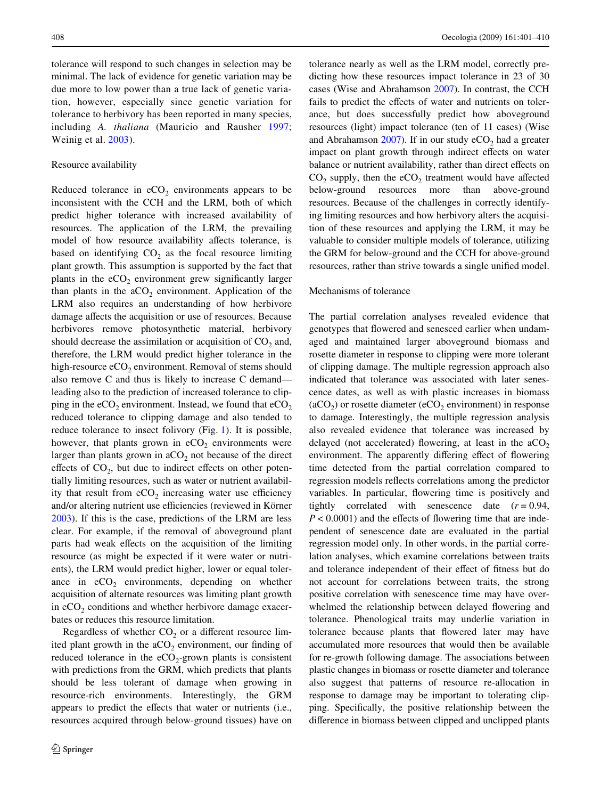tolerance will respond to such changes in selection may be minimal. The lack of evidence for genetic variation may be due more to low power than a true lack of genetic variation, however, especially since genetic variation for tolerance to herbivory has been reported in many species, including *A. thaliana* (Mauricio and Rausher [1997](#page-9-15); Weinig et al. [2003\)](#page-9-14).

# Resource availability

Reduced tolerance in  $eCO<sub>2</sub>$  environments appears to be inconsistent with the CCH and the LRM, both of which predict higher tolerance with increased availability of resources. The application of the LRM, the prevailing model of how resource availability affects tolerance, is based on identifying  $CO<sub>2</sub>$  as the focal resource limiting plant growth. This assumption is supported by the fact that plants in the  $eCO<sub>2</sub>$  environment grew significantly larger than plants in the  $aCO<sub>2</sub>$  environment. Application of the LRM also requires an understanding of how herbivore damage affects the acquisition or use of resources. Because herbivores remove photosynthetic material, herbivory should decrease the assimilation or acquisition of  $CO<sub>2</sub>$  and, therefore, the LRM would predict higher tolerance in the high-resource  $eCO<sub>2</sub>$  environment. Removal of stems should also remove C and thus is likely to increase C demand leading also to the prediction of increased tolerance to clipping in the eCO<sub>2</sub> environment. Instead, we found that  $eCO_2$ reduced tolerance to clipping damage and also tended to reduce tolerance to insect folivory (Fig. [1\)](#page-4-1). It is possible, however, that plants grown in  $eCO<sub>2</sub>$  environments were larger than plants grown in  $aCO<sub>2</sub>$  not because of the direct effects of  $CO<sub>2</sub>$ , but due to indirect effects on other potentially limiting resources, such as water or nutrient availability that result from  $eCO<sub>2</sub>$  increasing water use efficiency and/or altering nutrient use efficiencies (reviewed in Körner [2003](#page-8-20)). If this is the case, predictions of the LRM are less clear. For example, if the removal of aboveground plant parts had weak effects on the acquisition of the limiting resource (as might be expected if it were water or nutrients), the LRM would predict higher, lower or equal tolerance in  $eCO<sub>2</sub>$  environments, depending on whether acquisition of alternate resources was limiting plant growth in  $eCO<sub>2</sub>$  conditions and whether herbivore damage exacerbates or reduces this resource limitation.

Regardless of whether  $CO<sub>2</sub>$  or a different resource limited plant growth in the  $aCO<sub>2</sub>$  environment, our finding of reduced tolerance in the  $eCO_2$ -grown plants is consistent with predictions from the GRM, which predicts that plants should be less tolerant of damage when growing in resource-rich environments. Interestingly, the GRM appears to predict the effects that water or nutrients (i.e., resources acquired through below-ground tissues) have on tolerance nearly as well as the LRM model, correctly predicting how these resources impact tolerance in 23 of 30 cases (Wise and Abrahamson [2007\)](#page-9-7). In contrast, the CCH fails to predict the effects of water and nutrients on tolerance, but does successfully predict how aboveground resources (light) impact tolerance (ten of 11 cases) (Wise and Abrahamson  $2007$ ). If in our study  $eCO<sub>2</sub>$  had a greater impact on plant growth through indirect effects on water balance or nutrient availability, rather than direct effects on  $CO<sub>2</sub>$  supply, then the eCO<sub>2</sub> treatment would have affected below-ground resources more than above-ground resources. Because of the challenges in correctly identifying limiting resources and how herbivory alters the acquisition of these resources and applying the LRM, it may be valuable to consider multiple models of tolerance, utilizing the GRM for below-ground and the CCH for above-ground resources, rather than strive towards a single unified model.

# Mechanisms of tolerance

The partial correlation analyses revealed evidence that genotypes that flowered and senesced earlier when undamaged and maintained larger aboveground biomass and rosette diameter in response to clipping were more tolerant of clipping damage. The multiple regression approach also indicated that tolerance was associated with later senescence dates, as well as with plastic increases in biomass  $(aCO<sub>2</sub>)$  or rosette diameter (eCO<sub>2</sub> environment) in response to damage. Interestingly, the multiple regression analysis also revealed evidence that tolerance was increased by delayed (not accelerated) flowering, at least in the  $aCO<sub>2</sub>$ environment. The apparently differing effect of flowering time detected from the partial correlation compared to regression models reflects correlations among the predictor variables. In particular, flowering time is positively and tightly correlated with senescence date  $(r = 0.94,$  $P < 0.0001$ ) and the effects of flowering time that are independent of senescence date are evaluated in the partial regression model only. In other words, in the partial correlation analyses, which examine correlations between traits and tolerance independent of their effect of fitness but do not account for correlations between traits, the strong positive correlation with senescence time may have overwhelmed the relationship between delayed flowering and tolerance. Phenological traits may underlie variation in tolerance because plants that flowered later may have accumulated more resources that would then be available for re-growth following damage. The associations between plastic changes in biomass or rosette diameter and tolerance also suggest that patterns of resource re-allocation in response to damage may be important to tolerating clipping. Specifically, the positive relationship between the difference in biomass between clipped and unclipped plants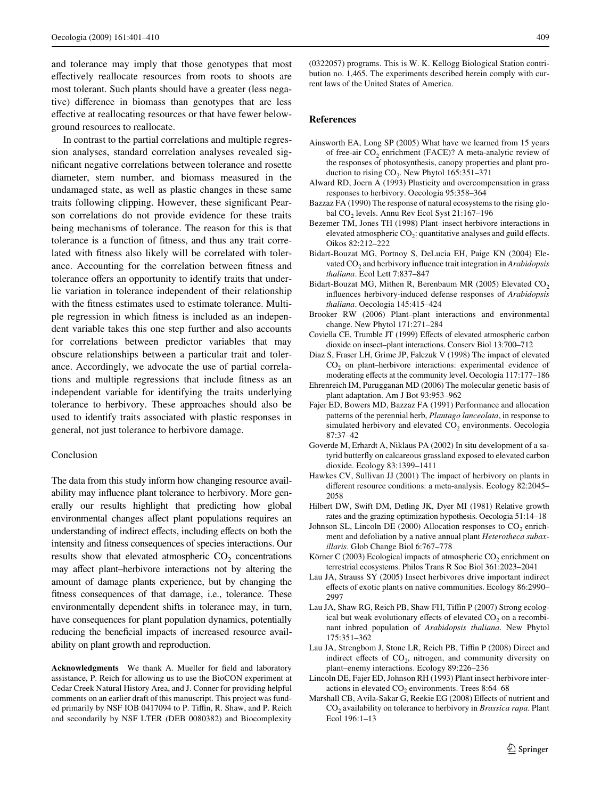and tolerance may imply that those genotypes that most effectively reallocate resources from roots to shoots are most tolerant. Such plants should have a greater (less negative) difference in biomass than genotypes that are less effective at reallocating resources or that have fewer belowground resources to reallocate.

In contrast to the partial correlations and multiple regression analyses, standard correlation analyses revealed significant negative correlations between tolerance and rosette diameter, stem number, and biomass measured in the undamaged state, as well as plastic changes in these same traits following clipping. However, these significant Pearson correlations do not provide evidence for these traits being mechanisms of tolerance. The reason for this is that tolerance is a function of fitness, and thus any trait correlated with fitness also likely will be correlated with tolerance. Accounting for the correlation between fitness and tolerance offers an opportunity to identify traits that underlie variation in tolerance independent of their relationship with the fitness estimates used to estimate tolerance. Multiple regression in which fitness is included as an independent variable takes this one step further and also accounts for correlations between predictor variables that may obscure relationships between a particular trait and tolerance. Accordingly, we advocate the use of partial correlations and multiple regressions that include fitness as an independent variable for identifying the traits underlying tolerance to herbivory. These approaches should also be used to identify traits associated with plastic responses in general, not just tolerance to herbivore damage.

# Conclusion

The data from this study inform how changing resource availability may influence plant tolerance to herbivory. More generally our results highlight that predicting how global environmental changes affect plant populations requires an understanding of indirect effects, including effects on both the intensity and fitness consequences of species interactions. Our results show that elevated atmospheric  $CO<sub>2</sub>$  concentrations may affect plant–herbivore interactions not by altering the amount of damage plants experience, but by changing the fitness consequences of that damage, i.e., tolerance. These environmentally dependent shifts in tolerance may, in turn, have consequences for plant population dynamics, potentially reducing the beneficial impacts of increased resource availability on plant growth and reproduction.

Acknowledgments We thank A. Mueller for field and laboratory assistance, P. Reich for allowing us to use the BioCON experiment at Cedar Creek Natural History Area, and J. Conner for providing helpful comments on an earlier draft of this manuscript. This project was funded primarily by NSF IOB 0417094 to P. Tiffin, R. Shaw, and P. Reich and secondarily by NSF LTER (DEB 0080382) and Biocomplexity (0322057) programs. This is W. K. Kellogg Biological Station contribution no. 1,465. The experiments described herein comply with current laws of the United States of America.

# **References**

- <span id="page-8-19"></span>Ainsworth EA, Long SP (2005) What have we learned from 15 years of free-air  $CO_2$  enrichment (FACE)? A meta-analytic review of the responses of photosynthesis, canopy properties and plant production to rising  $CO<sub>2</sub>$ . New Phytol 165:351–371
- <span id="page-8-6"></span>Alward RD, Joern A (1993) Plasticity and overcompensation in grass responses to herbivory. Oecologia 95:358–364
- <span id="page-8-0"></span>Bazzaz FA (1990) The response of natural ecosystems to the rising global CO<sub>2</sub> levels. Annu Rev Ecol Syst 21:167-196
- <span id="page-8-2"></span>Bezemer TM, Jones TH (1998) Plant–insect herbivore interactions in elevated atmospheric  $CO<sub>2</sub>$ : quantitative analyses and guild effects. Oikos 82:212–222
- <span id="page-8-16"></span>Bidart-Bouzat MG, Portnoy S, DeLucia EH, Paige KN (2004) Elevated CO<sub>2</sub> and herbivory influence trait integration in *Arabidopsis thaliana*. Ecol Lett 7:837–847
- <span id="page-8-11"></span>Bidart-Bouzat MG, Mithen R, Berenbaum MR (2005) Elevated  $CO<sub>2</sub>$ influences herbivory-induced defense responses of *Arabidopsis thaliana*. Oecologia 145:415–424
- <span id="page-8-1"></span>Brooker RW (2006) Plant–plant interactions and environmental change. New Phytol 171:271–284
- <span id="page-8-3"></span>Coviella CE, Trumble JT (1999) Effects of elevated atmospheric carbon dioxide on insect–plant interactions. Conserv Biol 13:700–712
- <span id="page-8-12"></span>Diaz S, Fraser LH, Grime JP, Falczuk V (1998) The impact of elevated CO<sub>2</sub> on plant–herbivore interactions: experimental evidence of moderating effects at the community level. Oecologia 117:177-186
- <span id="page-8-9"></span>Ehrenreich IM, Purugganan MD (2006) The molecular genetic basis of plant adaptation. Am J Bot 93:953–962
- <span id="page-8-17"></span>Fajer ED, Bowers MD, Bazzaz FA (1991) Performance and allocation patterns of the perennial herb, *Plantago lanceolata*, in response to simulated herbivory and elevated  $CO<sub>2</sub>$  environments. Oecologia 87:37–42
- <span id="page-8-13"></span>Goverde M, Erhardt A, Niklaus PA (2002) In situ development of a satyrid butterfly on calcareous grassland exposed to elevated carbon dioxide. Ecology 83:1399–1411
- <span id="page-8-4"></span>Hawkes CV, Sullivan JJ (2001) The impact of herbivory on plants in different resource conditions: a meta-analysis. Ecology 82:2045– 2058
- <span id="page-8-5"></span>Hilbert DW, Swift DM, Detling JK, Dyer MI (1981) Relative growth rates and the grazing optimization hypothesis. Oecologia 51:14–18
- <span id="page-8-18"></span>Johnson SL, Lincoln DE (2000) Allocation responses to  $CO<sub>2</sub>$  enrichment and defoliation by a native annual plant *Heterotheca subaxillaris*. Glob Change Biol 6:767–778
- <span id="page-8-20"></span>Körner C (2003) Ecological impacts of atmospheric  $CO<sub>2</sub>$  enrichment on terrestrial ecosystems. Philos Trans R Soc Biol 361:2023–2041
- <span id="page-8-8"></span>Lau JA, Strauss SY (2005) Insect herbivores drive important indirect effects of exotic plants on native communities. Ecology 86:2990– 2997
- <span id="page-8-14"></span>Lau JA, Shaw RG, Reich PB, Shaw FH, Tiffin P (2007) Strong ecological but weak evolutionary effects of elevated  $CO<sub>2</sub>$  on a recombinant inbred population of *Arabidopsis thaliana*. New Phytol 175:351–362
- <span id="page-8-15"></span>Lau JA, Strengbom J, Stone LR, Reich PB, Tiffin P (2008) Direct and indirect effects of  $CO<sub>2</sub>$ , nitrogen, and community diversity on plant–enemy interactions. Ecology 89:226–236
- <span id="page-8-10"></span>Lincoln DE, Fajer ED, Johnson RH (1993) Plant insect herbivore interactions in elevated  $CO<sub>2</sub>$  environments. Trees 8:64–68
- <span id="page-8-7"></span>Marshall CB, Avila-Sakar G, Reekie EG (2008) Effects of nutrient and CO<sub>2</sub> availability on tolerance to herbivory in *Brassica rapa*. Plant Ecol 196:1–13